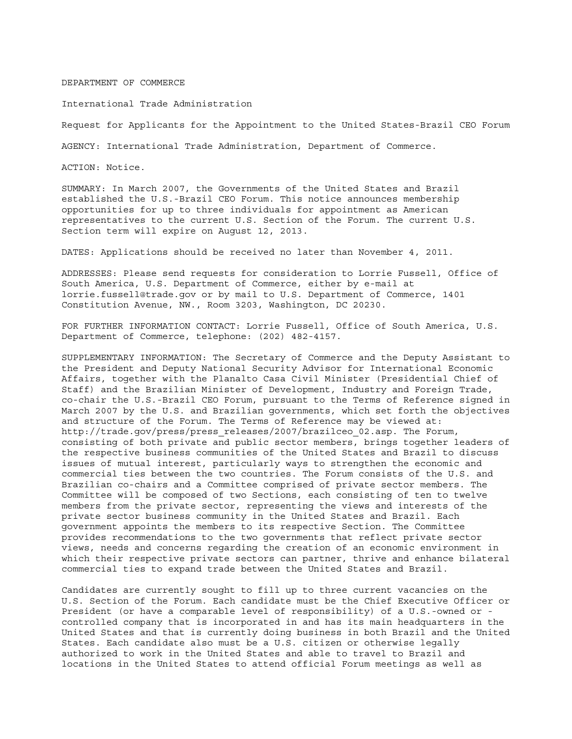## DEPARTMENT OF COMMERCE

International Trade Administration

Request for Applicants for the Appointment to the United States-Brazil CEO Forum

AGENCY: International Trade Administration, Department of Commerce.

ACTION: Notice.

SUMMARY: In March 2007, the Governments of the United States and Brazil established the U.S.-Brazil CEO Forum. This notice announces membership opportunities for up to three individuals for appointment as American representatives to the current U.S. Section of the Forum. The current U.S. Section term will expire on August 12, 2013.

DATES: Applications should be received no later than November 4, 2011.

ADDRESSES: Please send requests for consideration to Lorrie Fussell, Office of South America, U.S. Department of Commerce, either by e-mail at lorrie.fussell@trade.gov or by mail to U.S. Department of Commerce, 1401 Constitution Avenue, NW., Room 3203, Washington, DC 20230.

FOR FURTHER INFORMATION CONTACT: Lorrie Fussell, Office of South America, U.S. Department of Commerce, telephone: (202) 482-4157.

SUPPLEMENTARY INFORMATION: The Secretary of Commerce and the Deputy Assistant to the President and Deputy National Security Advisor for International Economic Affairs, together with the Planalto Casa Civil Minister (Presidential Chief of Staff) and the Brazilian Minister of Development, Industry and Foreign Trade, co-chair the U.S.-Brazil CEO Forum, pursuant to the Terms of Reference signed in March 2007 by the U.S. and Brazilian governments, which set forth the objectives and structure of the Forum. The Terms of Reference may be viewed at: http://trade.gov/press/press releases/2007/brazilceo 02.asp. The Forum, consisting of both private and public sector members, brings together leaders of the respective business communities of the United States and Brazil to discuss issues of mutual interest, particularly ways to strengthen the economic and commercial ties between the two countries. The Forum consists of the U.S. and Brazilian co-chairs and a Committee comprised of private sector members. The Committee will be composed of two Sections, each consisting of ten to twelve members from the private sector, representing the views and interests of the private sector business community in the United States and Brazil. Each government appoints the members to its respective Section. The Committee provides recommendations to the two governments that reflect private sector views, needs and concerns regarding the creation of an economic environment in which their respective private sectors can partner, thrive and enhance bilateral commercial ties to expand trade between the United States and Brazil.

Candidates are currently sought to fill up to three current vacancies on the U.S. Section of the Forum. Each candidate must be the Chief Executive Officer or President (or have a comparable level of responsibility) of a U.S.-owned or controlled company that is incorporated in and has its main headquarters in the United States and that is currently doing business in both Brazil and the United States. Each candidate also must be a U.S. citizen or otherwise legally authorized to work in the United States and able to travel to Brazil and locations in the United States to attend official Forum meetings as well as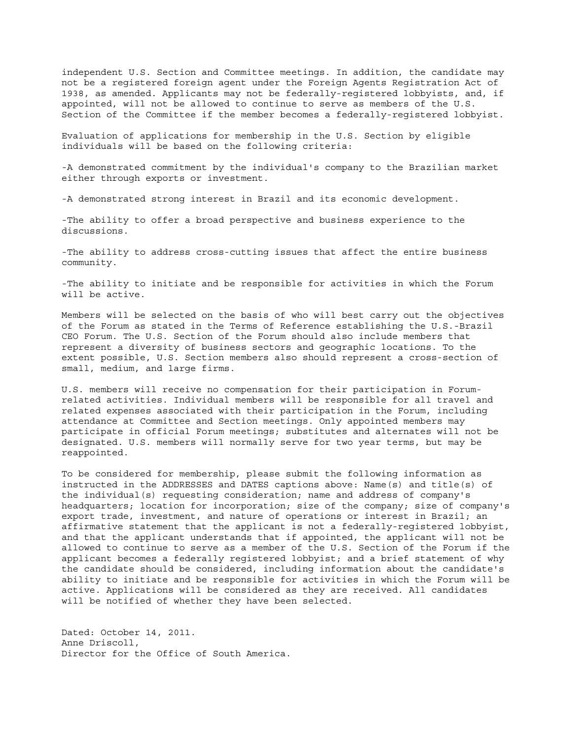independent U.S. Section and Committee meetings. In addition, the candidate may not be a registered foreign agent under the Foreign Agents Registration Act of 1938, as amended. Applicants may not be federally-registered lobbyists, and, if appointed, will not be allowed to continue to serve as members of the U.S. Section of the Committee if the member becomes a federally-registered lobbyist.

Evaluation of applications for membership in the U.S. Section by eligible individuals will be based on the following criteria:

-A demonstrated commitment by the individual's company to the Brazilian market either through exports or investment.

-A demonstrated strong interest in Brazil and its economic development.

-The ability to offer a broad perspective and business experience to the discussions.

-The ability to address cross-cutting issues that affect the entire business community.

-The ability to initiate and be responsible for activities in which the Forum will be active.

Members will be selected on the basis of who will best carry out the objectives of the Forum as stated in the Terms of Reference establishing the U.S.-Brazil CEO Forum. The U.S. Section of the Forum should also include members that represent a diversity of business sectors and geographic locations. To the extent possible, U.S. Section members also should represent a cross-section of small, medium, and large firms.

U.S. members will receive no compensation for their participation in Forumrelated activities. Individual members will be responsible for all travel and related expenses associated with their participation in the Forum, including attendance at Committee and Section meetings. Only appointed members may participate in official Forum meetings; substitutes and alternates will not be designated. U.S. members will normally serve for two year terms, but may be reappointed.

To be considered for membership, please submit the following information as instructed in the ADDRESSES and DATES captions above: Name(s) and title(s) of the individual(s) requesting consideration; name and address of company's headquarters; location for incorporation; size of the company; size of company's export trade, investment, and nature of operations or interest in Brazil; an affirmative statement that the applicant is not a federally-registered lobbyist, and that the applicant understands that if appointed, the applicant will not be allowed to continue to serve as a member of the U.S. Section of the Forum if the applicant becomes a federally registered lobbyist; and a brief statement of why the candidate should be considered, including information about the candidate's ability to initiate and be responsible for activities in which the Forum will be active. Applications will be considered as they are received. All candidates will be notified of whether they have been selected.

Dated: October 14, 2011. Anne Driscoll, Director for the Office of South America.